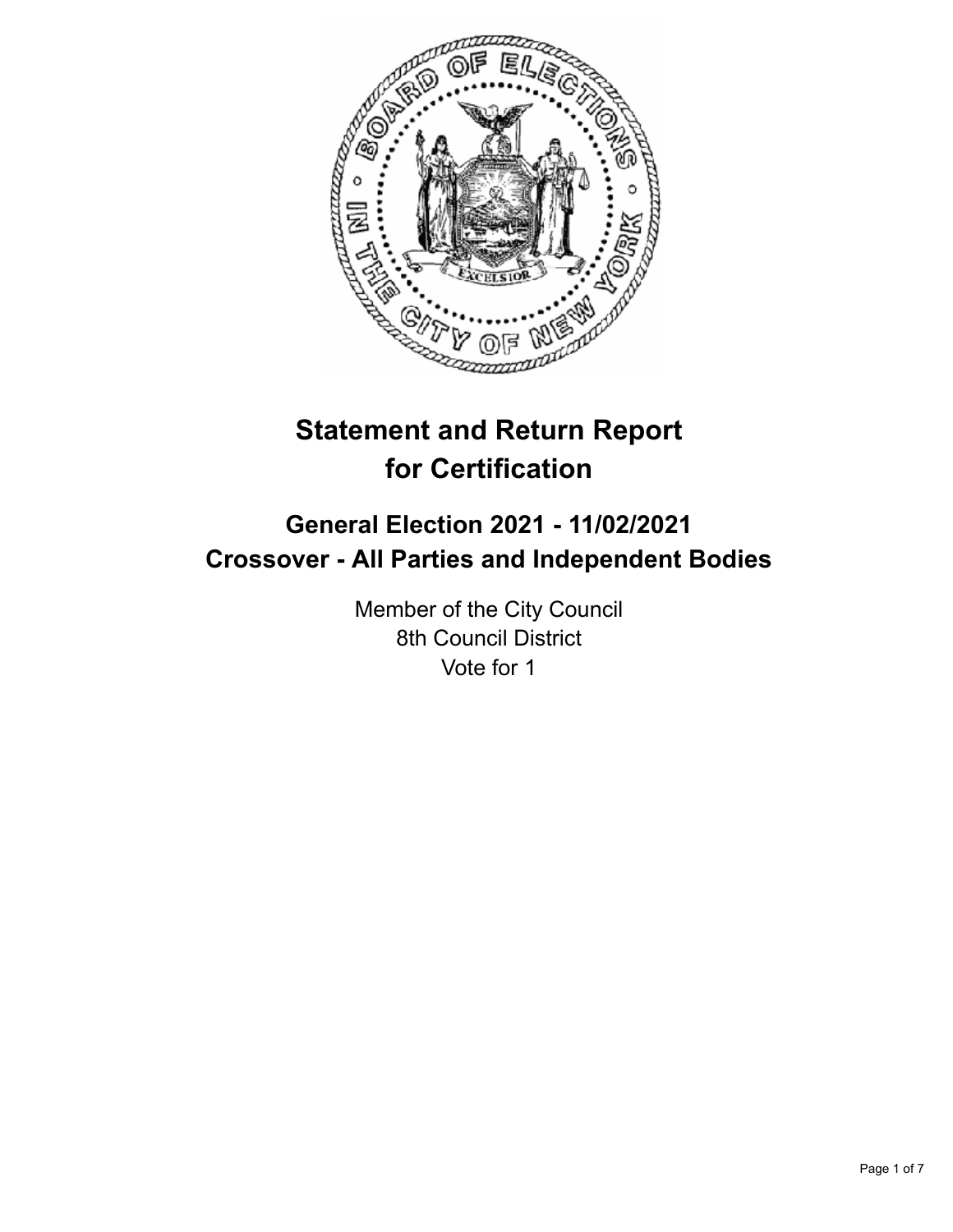

# **Statement and Return Report for Certification**

# **General Election 2021 - 11/02/2021 Crossover - All Parties and Independent Bodies**

Member of the City Council 8th Council District Vote for 1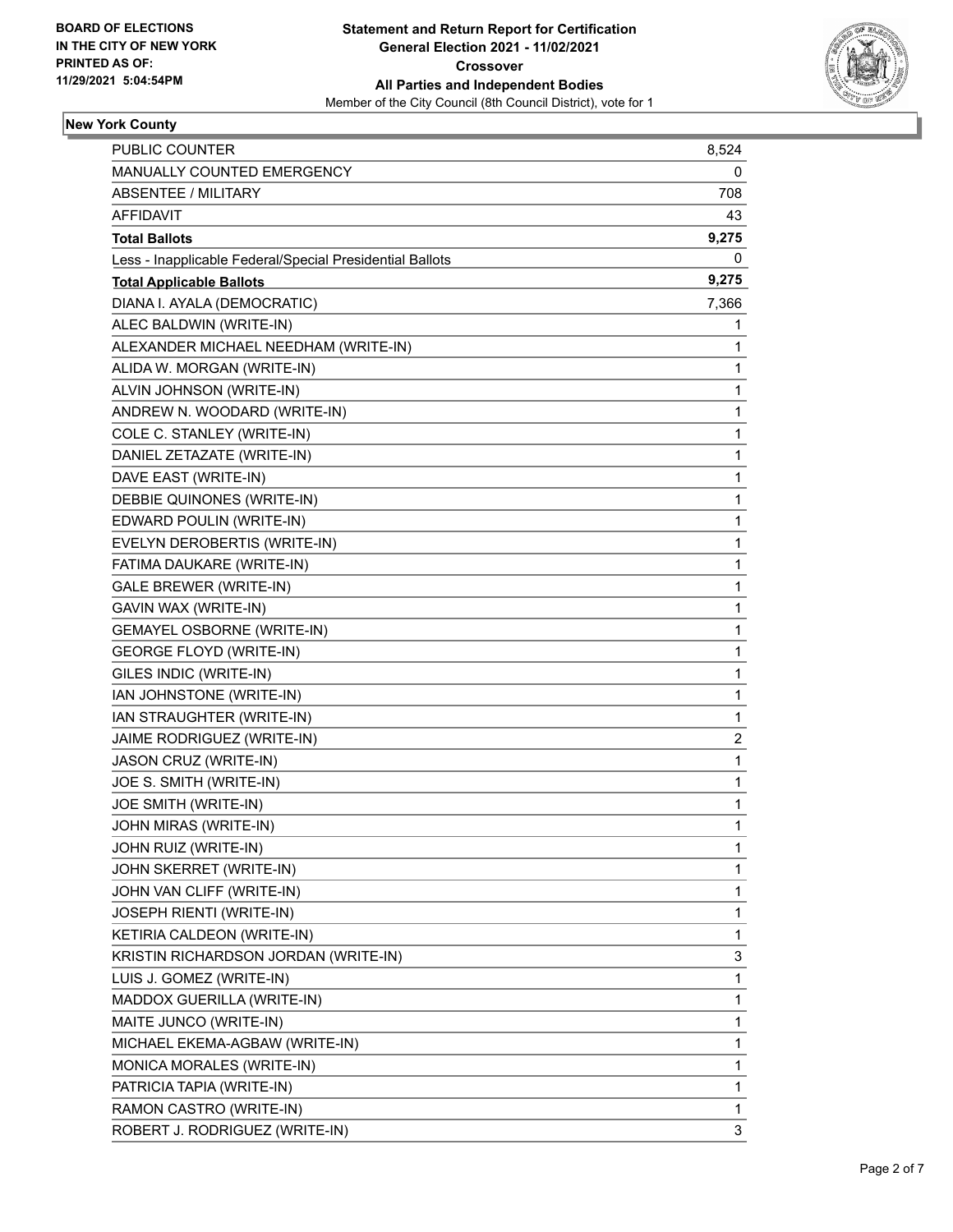

### **New York County**

| <b>PUBLIC COUNTER</b>                                    | 8,524        |
|----------------------------------------------------------|--------------|
| MANUALLY COUNTED EMERGENCY                               | 0            |
| <b>ABSENTEE / MILITARY</b>                               | 708          |
| AFFIDAVIT                                                | 43           |
| <b>Total Ballots</b>                                     | 9,275        |
| Less - Inapplicable Federal/Special Presidential Ballots | 0            |
| <b>Total Applicable Ballots</b>                          | 9,275        |
| DIANA I. AYALA (DEMOCRATIC)                              | 7,366        |
| ALEC BALDWIN (WRITE-IN)                                  | 1            |
| ALEXANDER MICHAEL NEEDHAM (WRITE-IN)                     | 1            |
| ALIDA W. MORGAN (WRITE-IN)                               | 1            |
| ALVIN JOHNSON (WRITE-IN)                                 | 1            |
| ANDREW N. WOODARD (WRITE-IN)                             | 1            |
| COLE C. STANLEY (WRITE-IN)                               | 1            |
| DANIEL ZETAZATE (WRITE-IN)                               | 1            |
| DAVE EAST (WRITE-IN)                                     | 1            |
| DEBBIE QUINONES (WRITE-IN)                               | 1            |
| EDWARD POULIN (WRITE-IN)                                 | 1            |
| EVELYN DEROBERTIS (WRITE-IN)                             | 1            |
| FATIMA DAUKARE (WRITE-IN)                                | 1            |
| GALE BREWER (WRITE-IN)                                   | 1            |
| GAVIN WAX (WRITE-IN)                                     | 1            |
| <b>GEMAYEL OSBORNE (WRITE-IN)</b>                        | 1            |
| <b>GEORGE FLOYD (WRITE-IN)</b>                           | 1            |
| GILES INDIC (WRITE-IN)                                   | 1            |
| IAN JOHNSTONE (WRITE-IN)                                 | 1            |
| IAN STRAUGHTER (WRITE-IN)                                | 1            |
| JAIME RODRIGUEZ (WRITE-IN)                               | 2            |
| JASON CRUZ (WRITE-IN)                                    | 1            |
| JOE S. SMITH (WRITE-IN)                                  | 1            |
| JOE SMITH (WRITE-IN)                                     | 1            |
| JOHN MIRAS (WRITE-IN)                                    | 1            |
| JOHN RUIZ (WRITE-IN)                                     | 1            |
| JOHN SKERRET (WRITE-IN)                                  | 1            |
| JOHN VAN CLIFF (WRITE-IN)                                | 1            |
| JOSEPH RIENTI (WRITE-IN)                                 | 1            |
| KETIRIA CALDEON (WRITE-IN)                               | 1            |
| KRISTIN RICHARDSON JORDAN (WRITE-IN)                     | 3            |
| LUIS J. GOMEZ (WRITE-IN)                                 | $\mathbf{1}$ |
| MADDOX GUERILLA (WRITE-IN)                               | 1            |
| MAITE JUNCO (WRITE-IN)                                   | 1            |
| MICHAEL EKEMA-AGBAW (WRITE-IN)                           | 1            |
| MONICA MORALES (WRITE-IN)                                | 1            |
| PATRICIA TAPIA (WRITE-IN)                                | 1            |
| RAMON CASTRO (WRITE-IN)                                  | 1            |
| ROBERT J. RODRIGUEZ (WRITE-IN)                           | 3            |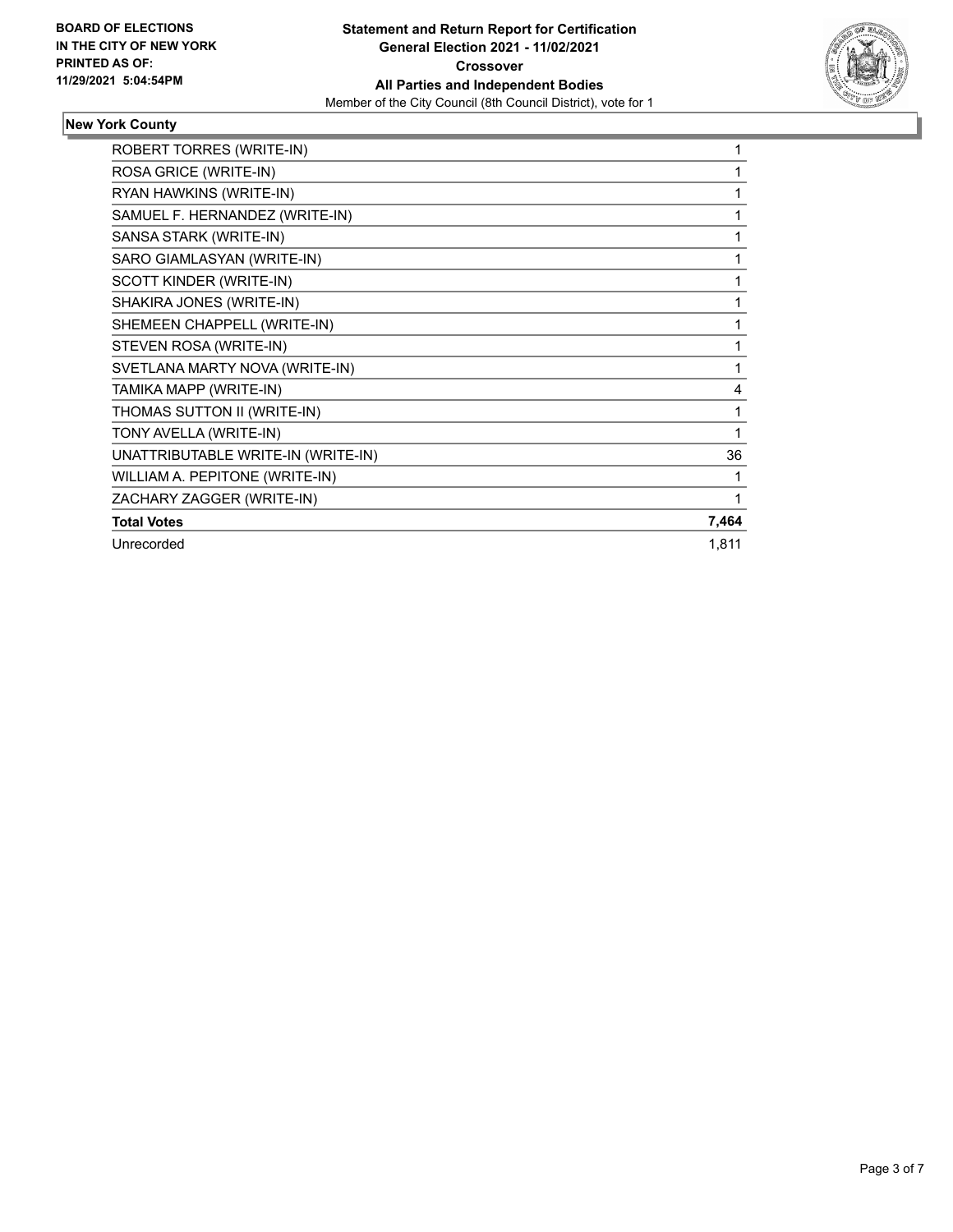

### **New York County**

| ROBERT TORRES (WRITE-IN)           | 1     |
|------------------------------------|-------|
| ROSA GRICE (WRITE-IN)              | 1     |
| RYAN HAWKINS (WRITE-IN)            |       |
| SAMUEL F. HERNANDEZ (WRITE-IN)     |       |
| SANSA STARK (WRITE-IN)             |       |
| SARO GIAMLASYAN (WRITE-IN)         |       |
| SCOTT KINDER (WRITE-IN)            | 1     |
| SHAKIRA JONES (WRITE-IN)           | 1     |
| SHEMEEN CHAPPELL (WRITE-IN)        | 1     |
| STEVEN ROSA (WRITE-IN)             | 1     |
| SVETLANA MARTY NOVA (WRITE-IN)     | 1     |
| TAMIKA MAPP (WRITE-IN)             | 4     |
| THOMAS SUTTON II (WRITE-IN)        | 1     |
| TONY AVELLA (WRITE-IN)             |       |
| UNATTRIBUTABLE WRITE-IN (WRITE-IN) | 36    |
| WILLIAM A. PEPITONE (WRITE-IN)     |       |
| ZACHARY ZAGGER (WRITE-IN)          |       |
| <b>Total Votes</b>                 | 7,464 |
| Unrecorded                         | 1,811 |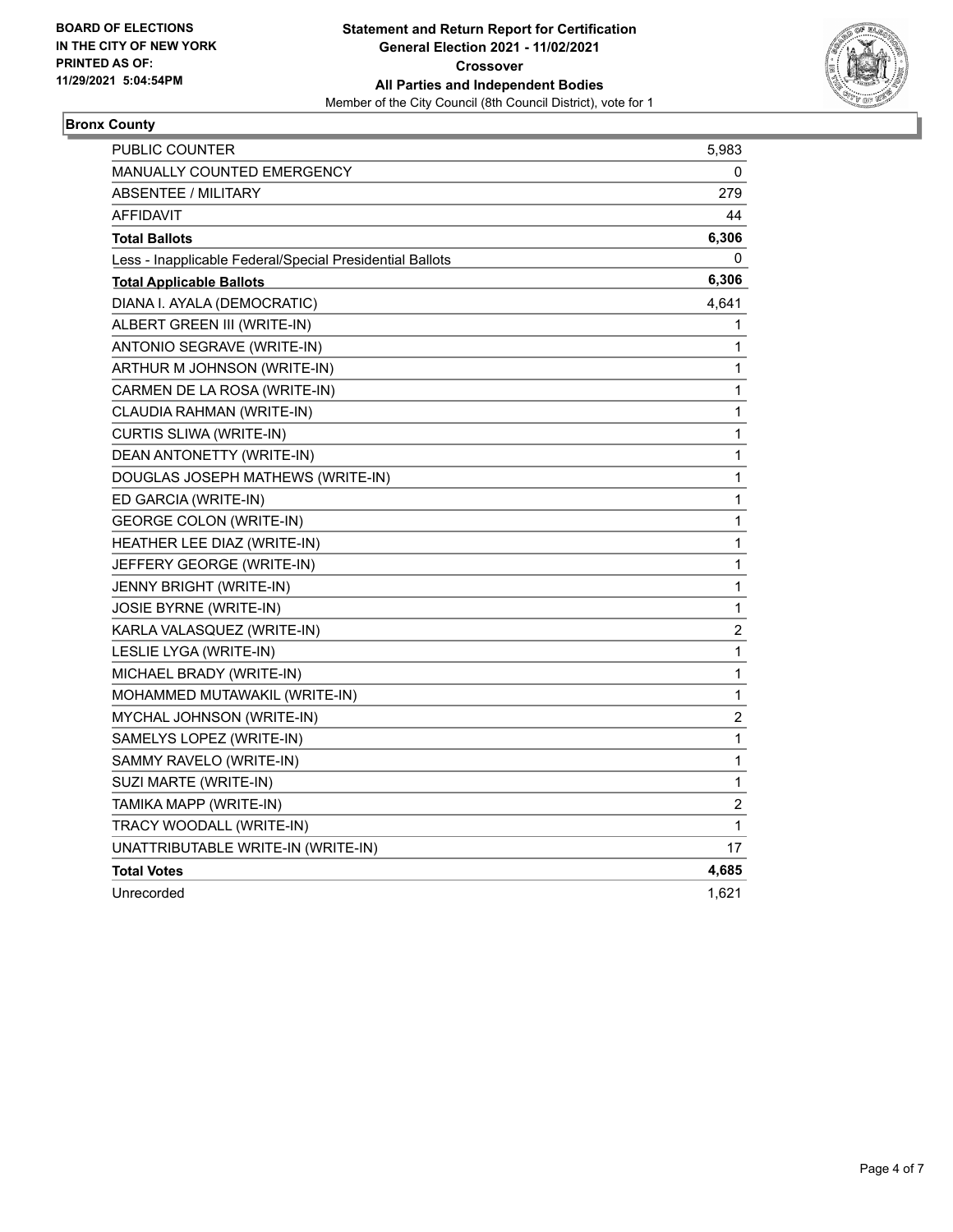

### **Bronx County**

| <b>PUBLIC COUNTER</b>                                    | 5,983                   |
|----------------------------------------------------------|-------------------------|
| <b>MANUALLY COUNTED EMERGENCY</b>                        | 0                       |
| <b>ABSENTEE / MILITARY</b>                               | 279                     |
| <b>AFFIDAVIT</b>                                         | 44                      |
| <b>Total Ballots</b>                                     | 6,306                   |
| Less - Inapplicable Federal/Special Presidential Ballots | 0                       |
| <b>Total Applicable Ballots</b>                          | 6,306                   |
| DIANA I. AYALA (DEMOCRATIC)                              | 4,641                   |
| ALBERT GREEN III (WRITE-IN)                              | 1                       |
| ANTONIO SEGRAVE (WRITE-IN)                               | 1                       |
| ARTHUR M JOHNSON (WRITE-IN)                              | 1                       |
| CARMEN DE LA ROSA (WRITE-IN)                             | 1                       |
| CLAUDIA RAHMAN (WRITE-IN)                                | 1                       |
| CURTIS SLIWA (WRITE-IN)                                  | $\mathbf{1}$            |
| DEAN ANTONETTY (WRITE-IN)                                | 1                       |
| DOUGLAS JOSEPH MATHEWS (WRITE-IN)                        | 1                       |
| ED GARCIA (WRITE-IN)                                     | 1                       |
| <b>GEORGE COLON (WRITE-IN)</b>                           | 1                       |
| HEATHER LEE DIAZ (WRITE-IN)                              | 1                       |
| JEFFERY GEORGE (WRITE-IN)                                | 1                       |
| <b>JENNY BRIGHT (WRITE-IN)</b>                           | 1                       |
| <b>JOSIE BYRNE (WRITE-IN)</b>                            | $\mathbf{1}$            |
| KARLA VALASQUEZ (WRITE-IN)                               | $\overline{\mathbf{c}}$ |
| LESLIE LYGA (WRITE-IN)                                   | 1                       |
| MICHAEL BRADY (WRITE-IN)                                 | 1                       |
| MOHAMMED MUTAWAKIL (WRITE-IN)                            | 1                       |
| MYCHAL JOHNSON (WRITE-IN)                                | $\overline{c}$          |
| SAMELYS LOPEZ (WRITE-IN)                                 | 1                       |
| SAMMY RAVELO (WRITE-IN)                                  | $\mathbf{1}$            |
| SUZI MARTE (WRITE-IN)                                    | 1                       |
| TAMIKA MAPP (WRITE-IN)                                   | $\overline{\mathbf{c}}$ |
| TRACY WOODALL (WRITE-IN)                                 | 1                       |
| UNATTRIBUTABLE WRITE-IN (WRITE-IN)                       | 17                      |
| <b>Total Votes</b>                                       | 4,685                   |
| Unrecorded                                               | 1,621                   |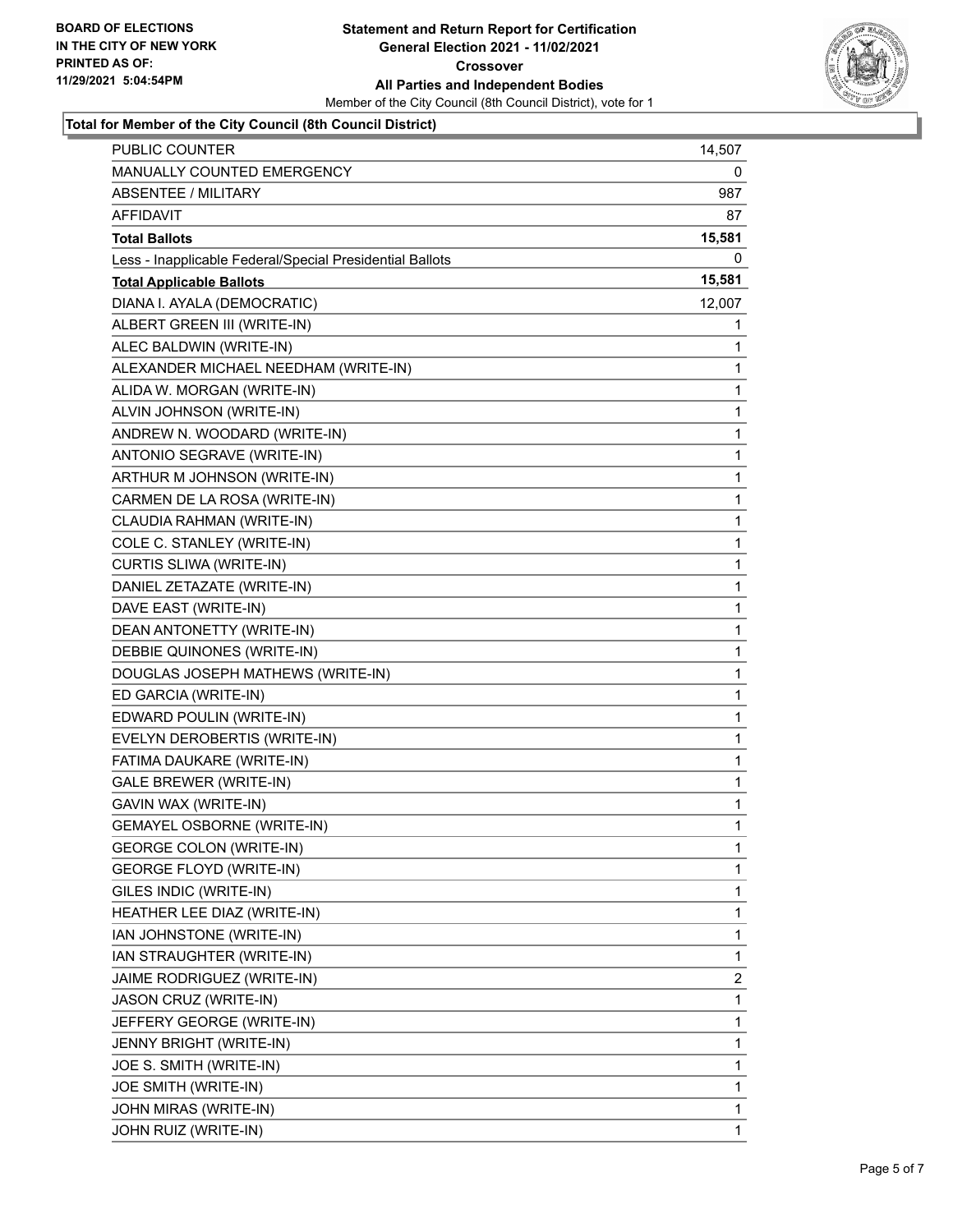

#### **Total for Member of the City Council (8th Council District)**

| PUBLIC COUNTER                                           | 14,507         |
|----------------------------------------------------------|----------------|
| MANUALLY COUNTED EMERGENCY                               | 0              |
| <b>ABSENTEE / MILITARY</b>                               | 987            |
| AFFIDAVIT                                                | 87             |
| <b>Total Ballots</b>                                     | 15,581         |
| Less - Inapplicable Federal/Special Presidential Ballots | 0              |
| <b>Total Applicable Ballots</b>                          | 15,581         |
| DIANA I. AYALA (DEMOCRATIC)                              | 12,007         |
| ALBERT GREEN III (WRITE-IN)                              | 1              |
| ALEC BALDWIN (WRITE-IN)                                  | 1              |
| ALEXANDER MICHAEL NEEDHAM (WRITE-IN)                     | 1              |
| ALIDA W. MORGAN (WRITE-IN)                               | 1              |
| ALVIN JOHNSON (WRITE-IN)                                 | 1              |
| ANDREW N. WOODARD (WRITE-IN)                             | $\mathbf{1}$   |
| ANTONIO SEGRAVE (WRITE-IN)                               | 1              |
| ARTHUR M JOHNSON (WRITE-IN)                              | $\mathbf{1}$   |
| CARMEN DE LA ROSA (WRITE-IN)                             | 1              |
| CLAUDIA RAHMAN (WRITE-IN)                                | 1              |
| COLE C. STANLEY (WRITE-IN)                               | 1              |
| CURTIS SLIWA (WRITE-IN)                                  | $\mathbf{1}$   |
| DANIEL ZETAZATE (WRITE-IN)                               | 1              |
| DAVE EAST (WRITE-IN)                                     | $\mathbf{1}$   |
| DEAN ANTONETTY (WRITE-IN)                                | 1              |
| DEBBIE QUINONES (WRITE-IN)                               | 1              |
| DOUGLAS JOSEPH MATHEWS (WRITE-IN)                        | 1              |
| ED GARCIA (WRITE-IN)                                     | 1              |
| EDWARD POULIN (WRITE-IN)                                 | 1              |
| EVELYN DEROBERTIS (WRITE-IN)                             | $\mathbf{1}$   |
| FATIMA DAUKARE (WRITE-IN)                                | 1              |
| GALE BREWER (WRITE-IN)                                   | 1              |
| GAVIN WAX (WRITE-IN)                                     | $\mathbf{1}$   |
| <b>GEMAYEL OSBORNE (WRITE-IN)</b>                        | 1              |
| <b>GEORGE COLON (WRITE-IN)</b>                           | $\mathbf{1}$   |
| <b>GEORGE FLOYD (WRITE-IN)</b>                           | 1              |
| GILES INDIC (WRITE-IN)                                   | 1              |
| HEATHER LEE DIAZ (WRITE-IN)                              | 1              |
| IAN JOHNSTONE (WRITE-IN)                                 | 1              |
| IAN STRAUGHTER (WRITE-IN)                                | 1              |
| JAIME RODRIGUEZ (WRITE-IN)                               | $\overline{2}$ |
| JASON CRUZ (WRITE-IN)                                    | 1              |
| JEFFERY GEORGE (WRITE-IN)                                | 1              |
| JENNY BRIGHT (WRITE-IN)                                  | 1              |
| JOE S. SMITH (WRITE-IN)                                  | 1              |
| JOE SMITH (WRITE-IN)                                     | 1              |
| JOHN MIRAS (WRITE-IN)                                    | $\mathbf{1}$   |
| JOHN RUIZ (WRITE-IN)                                     | $\mathbf{1}$   |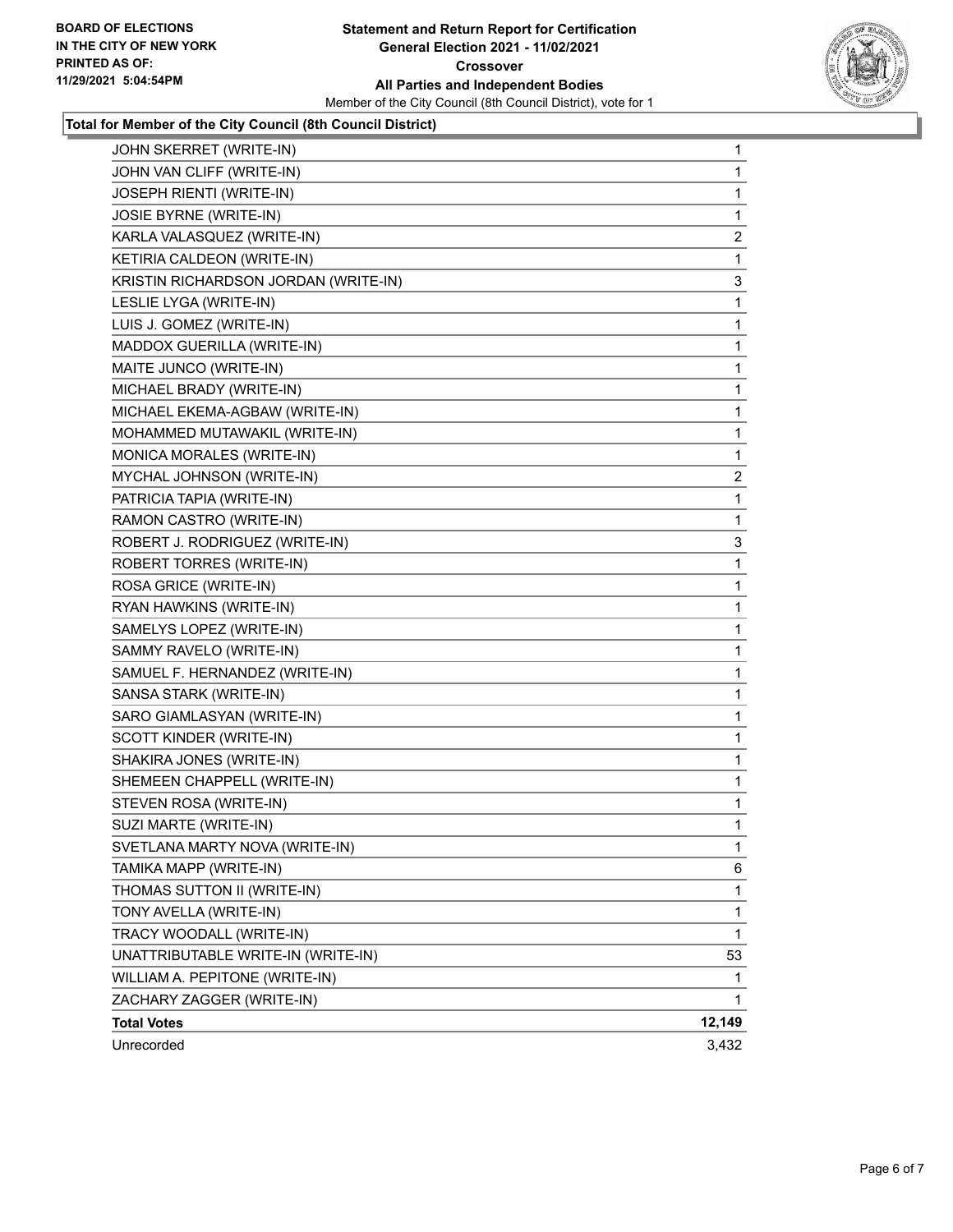

#### **Total for Member of the City Council (8th Council District)**

| JOHN SKERRET (WRITE-IN)              | $\mathbf{1}$   |
|--------------------------------------|----------------|
| JOHN VAN CLIFF (WRITE-IN)            | 1              |
| JOSEPH RIENTI (WRITE-IN)             | 1              |
| JOSIE BYRNE (WRITE-IN)               | 1              |
| KARLA VALASQUEZ (WRITE-IN)           | 2              |
| KETIRIA CALDEON (WRITE-IN)           | 1              |
| KRISTIN RICHARDSON JORDAN (WRITE-IN) | 3              |
| LESLIE LYGA (WRITE-IN)               | 1              |
| LUIS J. GOMEZ (WRITE-IN)             | 1              |
| MADDOX GUERILLA (WRITE-IN)           | 1              |
| MAITE JUNCO (WRITE-IN)               | 1              |
| MICHAEL BRADY (WRITE-IN)             | 1              |
| MICHAEL EKEMA-AGBAW (WRITE-IN)       | 1              |
| MOHAMMED MUTAWAKIL (WRITE-IN)        | 1              |
| MONICA MORALES (WRITE-IN)            | 1              |
| MYCHAL JOHNSON (WRITE-IN)            | $\overline{c}$ |
| PATRICIA TAPIA (WRITE-IN)            | 1              |
| RAMON CASTRO (WRITE-IN)              | 1              |
| ROBERT J. RODRIGUEZ (WRITE-IN)       | 3              |
| ROBERT TORRES (WRITE-IN)             | 1              |
| ROSA GRICE (WRITE-IN)                | 1              |
| RYAN HAWKINS (WRITE-IN)              | 1              |
| SAMELYS LOPEZ (WRITE-IN)             | 1              |
| SAMMY RAVELO (WRITE-IN)              | 1              |
| SAMUEL F. HERNANDEZ (WRITE-IN)       | 1              |
| SANSA STARK (WRITE-IN)               | 1              |
| SARO GIAMLASYAN (WRITE-IN)           | 1              |
| SCOTT KINDER (WRITE-IN)              | 1              |
| SHAKIRA JONES (WRITE-IN)             | 1              |
| SHEMEEN CHAPPELL (WRITE-IN)          | 1              |
| STEVEN ROSA (WRITE-IN)               | 1              |
| SUZI MARTE (WRITE-IN)                | 1              |
| SVETLANA MARTY NOVA (WRITE-IN)       | 1              |
| TAMIKA MAPP (WRITE-IN)               | 6              |
| THOMAS SUTTON II (WRITE-IN)          | 1              |
| TONY AVELLA (WRITE-IN)               | 1              |
| TRACY WOODALL (WRITE-IN)             | 1              |
| UNATTRIBUTABLE WRITE-IN (WRITE-IN)   | 53             |
| WILLIAM A. PEPITONE (WRITE-IN)       | 1              |
| ZACHARY ZAGGER (WRITE-IN)            | 1              |
| <b>Total Votes</b>                   | 12,149         |
| Unrecorded                           | 3,432          |